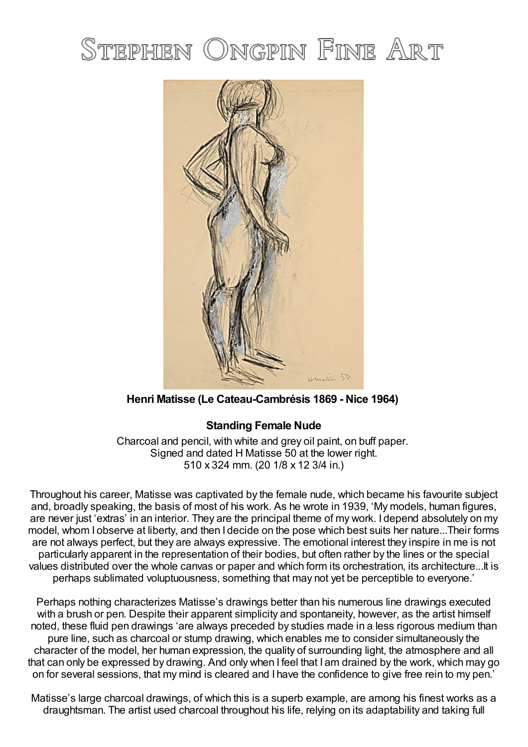# STEPHEN ONGPIN FINE ART



**Henri Matisse (Le Cateau-Cambrésis 1869 - Nice 1964)**

# **Standing Female Nude**

Charcoal and pencil, with white and grey oil paint, on buff paper. Signed and dated H Matisse 50 at the lower right. 510 x 324 mm. (20 1/8 x 12 3/4 in.)

Throughout his career, Matisse was captivated by the female nude, which became his favourite subject and, broadly speaking, the basis of most of his work. As he wrote in 1939, 'My models, human figures, are never just 'extras' in an interior. They are the principal theme of my work. I depend absolutely on my model, whom I observe at liberty, and then I decide on the pose which best suits her nature...Their forms are not always perfect, but they are always expressive. The emotional interest they inspire in me is not particularly apparent in the representation of their bodies, but often rather by the lines or the special values distributed over the whole canvas or paper and which form its orchestration, its architecture...It is perhaps sublimated voluptuousness, something that may not yet be perceptible to everyone.'

Perhaps nothing characterizes Matisse's drawings better than his numerous line drawings executed with a brush or pen. Despite their apparent simplicity and spontaneity, however, as the artist himself noted, these fluid pen drawings 'are always preceded by studies made in a less rigorous medium than pure line, such as charcoal or stump drawing, which enables me to consider simultaneously the character of the model, her human expression, the quality of surrounding light, the atmosphere and all that can only be expressed by drawing. And only when I feel that I am drained by the work, which may go on for several sessions, that my mind is cleared and I have the confidence to give free rein to my pen.'

Matisse's large charcoal drawings, of which this is a superb example, are among his finest works as a draughtsman. The artist used charcoal throughout his life, relying on its adaptability and taking full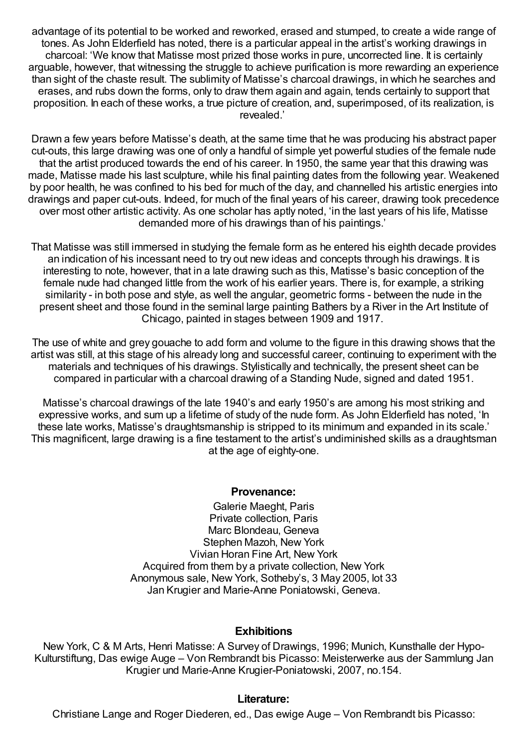advantage of its potential to be worked and reworked, erased and stumped, to create a wide range of tones. As John Elderfield has noted, there is a particular appeal in the artist's working drawings in charcoal: 'We know that Matisse most prized those works in pure, uncorrected line. It is certainly arguable, however, that witnessing the struggle to achieve purification is more rewarding an experience than sight of the chaste result. The sublimity of Matisse's charcoal drawings, in which he searches and erases, and rubs down the forms, only to draw them again and again, tends certainly to support that proposition. In each of these works, a true picture of creation, and, superimposed, of its realization, is revealed.'

Drawn a few years before Matisse's death, at the same time that he was producing his abstract paper cut-outs, this large drawing was one of only a handful of simple yet powerful studies of the female nude that the artist produced towards the end of his career. In 1950, the same year that this drawing was made, Matisse made his last sculpture, while his final painting dates from the following year. Weakened by poor health, he was confined to his bed for much of the day, and channelled his artistic energies into drawings and paper cut-outs. Indeed, for much of the final years of his career, drawing took precedence over most other artistic activity. As one scholar has aptly noted, 'in the last years of his life, Matisse demanded more of his drawings than of his paintings.'

That Matisse was still immersed in studying the female form as he entered his eighth decade provides an indication of his incessant need to try out new ideas and concepts through his drawings. It is interesting to note, however, that in a late drawing such as this, Matisse's basic conception of the female nude had changed little from the work of his earlier years. There is, for example, a striking similarity - in both pose and style, as well the angular, geometric forms - between the nude in the present sheet and those found in the seminal large painting Bathers by a River in the Art Institute of Chicago, painted in stages between 1909 and 1917.

The use of white and grey gouache to add form and volume to the figure in this drawing shows that the artist was still, at this stage of his already long and successful career, continuing to experiment with the materials and techniques of his drawings. Stylistically and technically, the present sheet can be compared in particular with a charcoal drawing of a Standing Nude, signed and dated 1951.

Matisse's charcoal drawings of the late 1940's and early 1950's are among his most striking and expressive works, and sum up a lifetime of study of the nude form. As John Elderfield has noted, 'In these late works, Matisse's draughtsmanship is stripped to its minimum and expanded in its scale.' This magnificent, large drawing is a fine testament to the artist's undiminished skills as a draughtsman at the age of eighty-one.

## **Provenance:**

Galerie Maeght, Paris Private collection, Paris Marc Blondeau, Geneva Stephen Mazoh, New York Vivian Horan Fine Art, New York Acquired from them by a private collection, New York Anonymous sale, New York, Sotheby's, 3 May 2005, lot 33 Jan Krugier and Marie-Anne Poniatowski, Geneva.

#### **Exhibitions**

New York, C & M Arts, Henri Matisse: A Survey of Drawings, 1996; Munich, Kunsthalle der Hypo-Kulturstiftung, Das ewige Auge – Von Rembrandt bis Picasso: Meisterwerke aus der Sammlung Jan Krugier und Marie-Anne Krugier-Poniatowski, 2007, no.154.

## **Literature:**

Christiane Lange and Roger Diederen, ed., Das ewige Auge – Von Rembrandt bis Picasso: